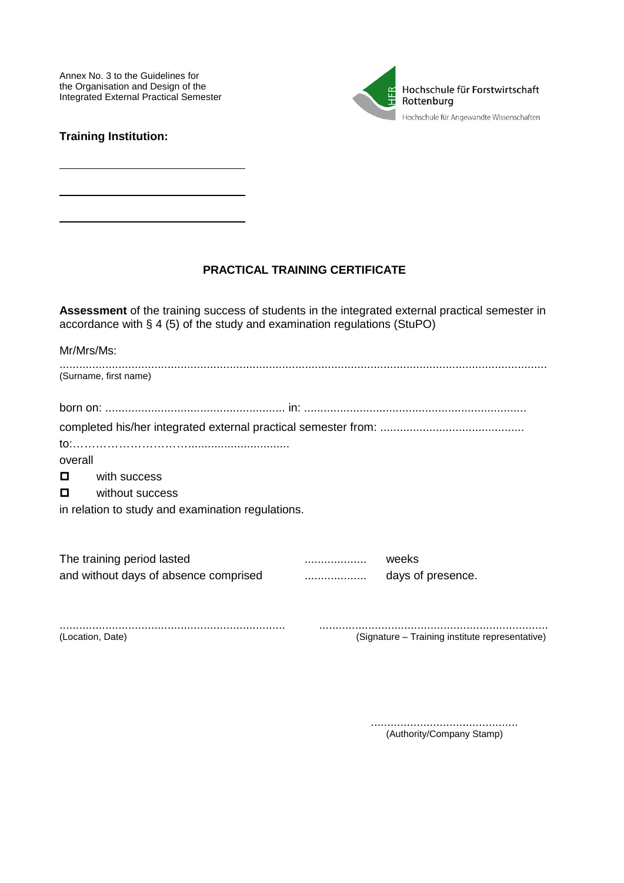Annex No. 3 to the Guidelines for the Organisation and Design of the Integrated External Practical Semester



## **Training Institution:**

## PRACTICAL TRAINING CERTIFICATE

Assessment of the training success of students in the integrated external practical semester in accordance with  $\S$  4 (5) of the study and examination regulations (StuPO)

| Mr/Mrs/Ms:                                        |                                       |   |                   |  |  |  |  |
|---------------------------------------------------|---------------------------------------|---|-------------------|--|--|--|--|
|                                                   | (Surname, first name)                 |   |                   |  |  |  |  |
|                                                   |                                       |   |                   |  |  |  |  |
|                                                   |                                       |   |                   |  |  |  |  |
|                                                   |                                       |   |                   |  |  |  |  |
| overall                                           |                                       |   |                   |  |  |  |  |
| o                                                 | with success                          |   |                   |  |  |  |  |
| $\Box$                                            | without success                       |   |                   |  |  |  |  |
| in relation to study and examination regulations. |                                       |   |                   |  |  |  |  |
|                                                   |                                       |   |                   |  |  |  |  |
|                                                   | The training period lasted            | . | weeks             |  |  |  |  |
|                                                   | and without days of absence comprised |   | days of presence. |  |  |  |  |
|                                                   |                                       |   |                   |  |  |  |  |

(Location, Date)

(Signature - Training institute representative)

> (Authority/Company Stamp)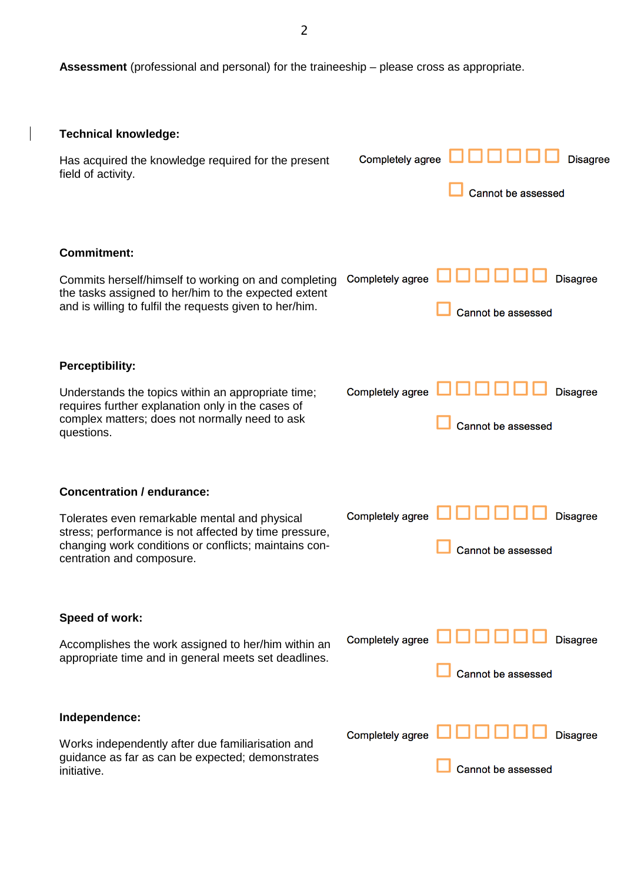**Assessment** (professional and personal) for the traineeship – please cross as appropriate.

 $\mathcal I$ 

| <b>Technical knowledge:</b>                                                                                                                                                                  |                  |                                       |  |  |
|----------------------------------------------------------------------------------------------------------------------------------------------------------------------------------------------|------------------|---------------------------------------|--|--|
| Has acquired the knowledge required for the present<br>field of activity.                                                                                                                    | Completely agree | <b>Disagree</b><br>Cannot be assessed |  |  |
| <b>Commitment:</b>                                                                                                                                                                           |                  |                                       |  |  |
| Commits herself/himself to working on and completing<br>the tasks assigned to her/him to the expected extent<br>and is willing to fulfil the requests given to her/him.                      | Completely agree | <b>Disagree</b><br>Cannot be assessed |  |  |
| <b>Perceptibility:</b>                                                                                                                                                                       |                  |                                       |  |  |
| Understands the topics within an appropriate time;<br>requires further explanation only in the cases of<br>complex matters; does not normally need to ask<br>questions.                      | Completely agree | <b>Disagree</b><br>Cannot be assessed |  |  |
| <b>Concentration / endurance:</b>                                                                                                                                                            |                  |                                       |  |  |
| Tolerates even remarkable mental and physical<br>stress; performance is not affected by time pressure,<br>changing work conditions or conflicts; maintains con-<br>centration and composure. | Completely agree | <b>Disagree</b><br>Cannot be assessed |  |  |
| Speed of work:                                                                                                                                                                               |                  |                                       |  |  |
| Accomplishes the work assigned to her/him within an<br>appropriate time and in general meets set deadlines.                                                                                  | Completely agree | <b>Disagree</b><br>Cannot be assessed |  |  |
| Independence:                                                                                                                                                                                |                  |                                       |  |  |
| Works independently after due familiarisation and<br>guidance as far as can be expected; demonstrates<br>initiative.                                                                         | Completely agree | <b>Disagree</b><br>Cannot be assessed |  |  |